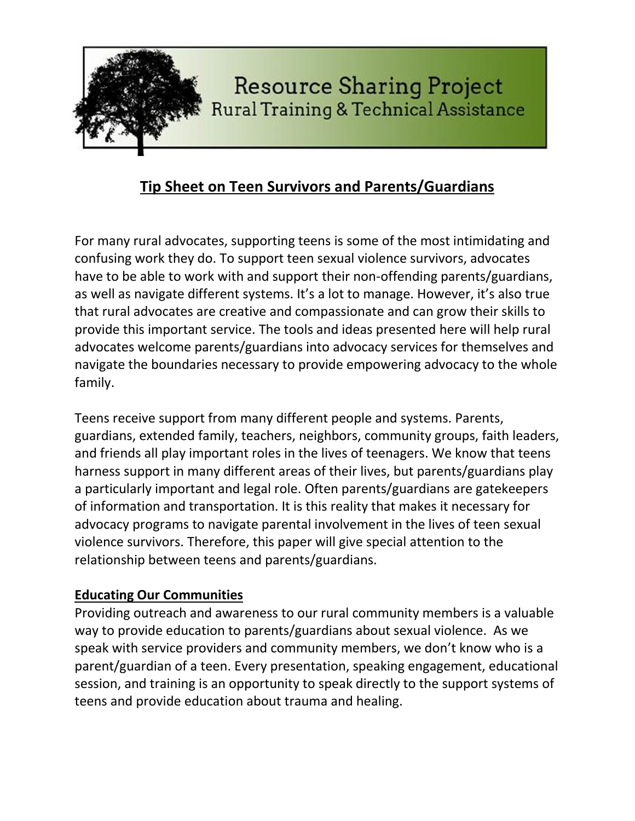

# **Tip Sheet on Teen Survivors and Parents/Guardians**

For many rural advocates, supporting teens is some of the most intimidating and confusing work they do. To support teen sexual violence survivors, advocates have to be able to work with and support their non-offending parents/guardians, as well as navigate different systems. It's a lot to manage. However, it's also true that rural advocates are creative and compassionate and can grow their skills to provide this important service. The tools and ideas presented here will help rural advocates welcome parents/guardians into advocacy services for themselves and navigate the boundaries necessary to provide empowering advocacy to the whole family.

Teens receive support from many different people and systems. Parents, guardians, extended family, teachers, neighbors, community groups, faith leaders, and friends all play important roles in the lives of teenagers. We know that teens harness support in many different areas of their lives, but parents/guardians play a particularly important and legal role. Often parents/guardians are gatekeepers of information and transportation. It is this reality that makes it necessary for advocacy programs to navigate parental involvement in the lives of teen sexual violence survivors. Therefore, this paper will give special attention to the relationship between teens and parents/guardians.

### **Educating Our Communities**

Providing outreach and awareness to our rural community members is a valuable way to provide education to parents/guardians about sexual violence. As we speak with service providers and community members, we don't know who is a parent/guardian of a teen. Every presentation, speaking engagement, educational session, and training is an opportunity to speak directly to the support systems of teens and provide education about trauma and healing.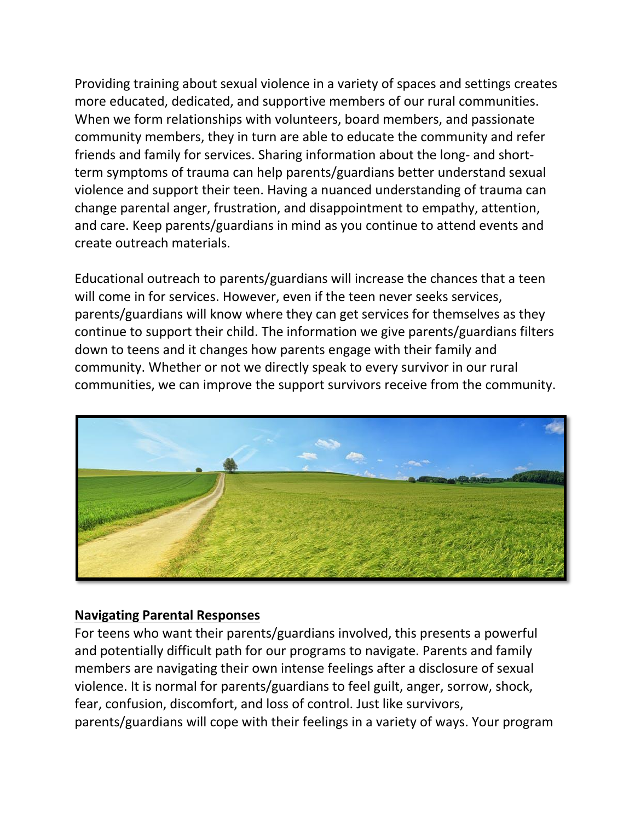Providing training about sexual violence in a variety of spaces and settings creates more educated, dedicated, and supportive members of our rural communities. When we form relationships with volunteers, board members, and passionate community members, they in turn are able to educate the community and refer friends and family for services. Sharing information about the long- and shortterm symptoms of trauma can help parents/guardians better understand sexual violence and support their teen. Having a nuanced understanding of trauma can change parental anger, frustration, and disappointment to empathy, attention, and care. Keep parents/guardians in mind as you continue to attend events and create outreach materials.

Educational outreach to parents/guardians will increase the chances that a teen will come in for services. However, even if the teen never seeks services, parents/guardians will know where they can get services for themselves as they continue to support their child. The information we give parents/guardians filters down to teens and it changes how parents engage with their family and community. Whether or not we directly speak to every survivor in our rural communities, we can improve the support survivors receive from the community.



### **Navigating Parental Responses**

For teens who want their parents/guardians involved, this presents a powerful and potentially difficult path for our programs to navigate. Parents and family members are navigating their own intense feelings after a disclosure of sexual violence. It is normal for parents/guardians to feel guilt, anger, sorrow, shock, fear, confusion, discomfort, and loss of control. Just like survivors, parents/guardians will cope with their feelings in a variety of ways. Your program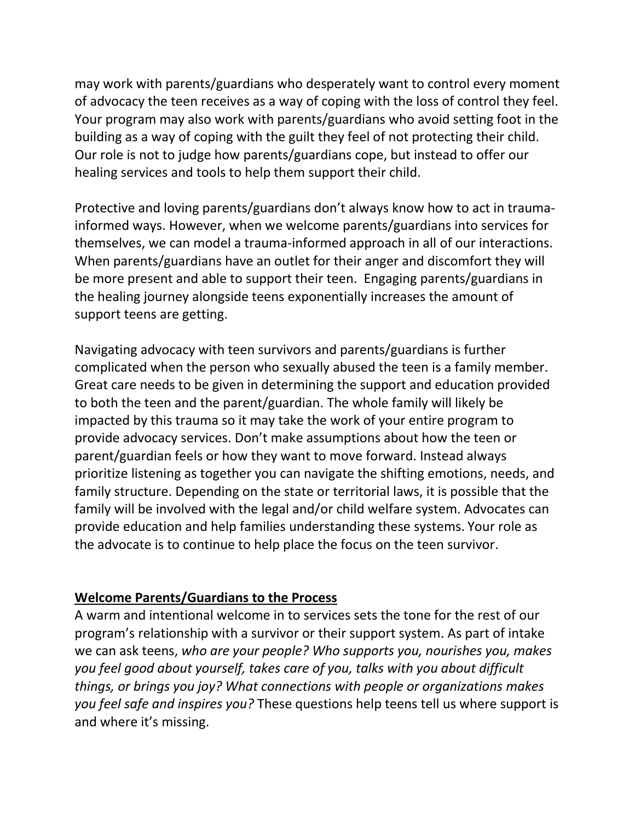may work with parents/guardians who desperately want to control every moment of advocacy the teen receives as a way of coping with the loss of control they feel. Your program may also work with parents/guardians who avoid setting foot in the building as a way of coping with the guilt they feel of not protecting their child. Our role is not to judge how parents/guardians cope, but instead to offer our healing services and tools to help them support their child.

Protective and loving parents/guardians don't always know how to act in traumainformed ways. However, when we welcome parents/guardians into services for themselves, we can model a trauma-informed approach in all of our interactions. When parents/guardians have an outlet for their anger and discomfort they will be more present and able to support their teen. Engaging parents/guardians in the healing journey alongside teens exponentially increases the amount of support teens are getting.

Navigating advocacy with teen survivors and parents/guardians is further complicated when the person who sexually abused the teen is a family member. Great care needs to be given in determining the support and education provided to both the teen and the parent/guardian. The whole family will likely be impacted by this trauma so it may take the work of your entire program to provide advocacy services. Don't make assumptions about how the teen or parent/guardian feels or how they want to move forward. Instead always prioritize listening as together you can navigate the shifting emotions, needs, and family structure. Depending on the state or territorial laws, it is possible that the family will be involved with the legal and/or child welfare system. Advocates can provide education and help families understanding these systems. Your role as the advocate is to continue to help place the focus on the teen survivor.

#### **Welcome Parents/Guardians to the Process**

A warm and intentional welcome in to services sets the tone for the rest of our program's relationship with a survivor or their support system. As part of intake we can ask teens, *who are your people? Who supports you, nourishes you, makes you feel good about yourself, takes care of you, talks with you about difficult things, or brings you joy? What connections with people or organizations makes you feel safe and inspires you?* These questions help teens tell us where support is and where it's missing.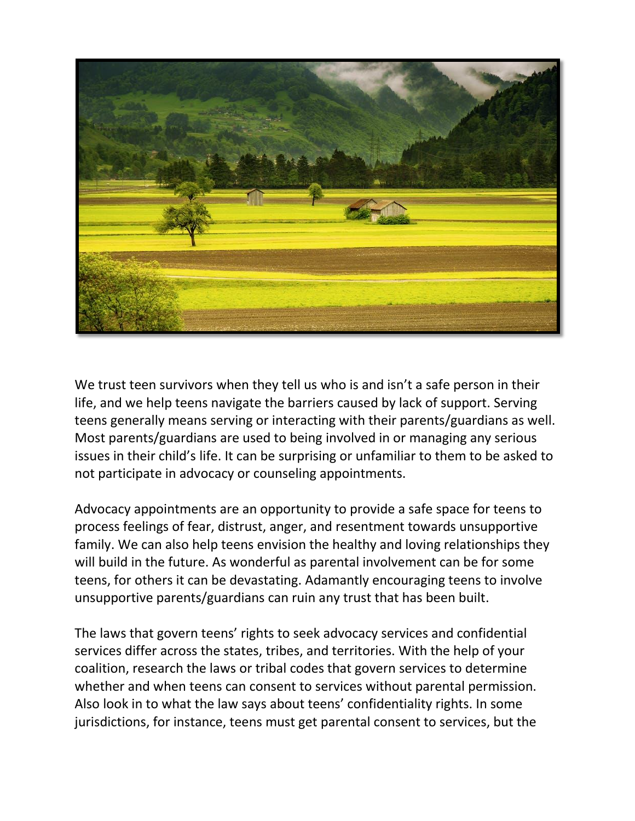

We trust teen survivors when they tell us who is and isn't a safe person in their life, and we help teens navigate the barriers caused by lack of support. Serving teens generally means serving or interacting with their parents/guardians as well. Most parents/guardians are used to being involved in or managing any serious issues in their child's life. It can be surprising or unfamiliar to them to be asked to not participate in advocacy or counseling appointments.

Advocacy appointments are an opportunity to provide a safe space for teens to process feelings of fear, distrust, anger, and resentment towards unsupportive family. We can also help teens envision the healthy and loving relationships they will build in the future. As wonderful as parental involvement can be for some teens, for others it can be devastating. Adamantly encouraging teens to involve unsupportive parents/guardians can ruin any trust that has been built.

The laws that govern teens' rights to seek advocacy services and confidential services differ across the states, tribes, and territories. With the help of your coalition, research the laws or tribal codes that govern services to determine whether and when teens can consent to services without parental permission. Also look in to what the law says about teens' confidentiality rights. In some jurisdictions, for instance, teens must get parental consent to services, but the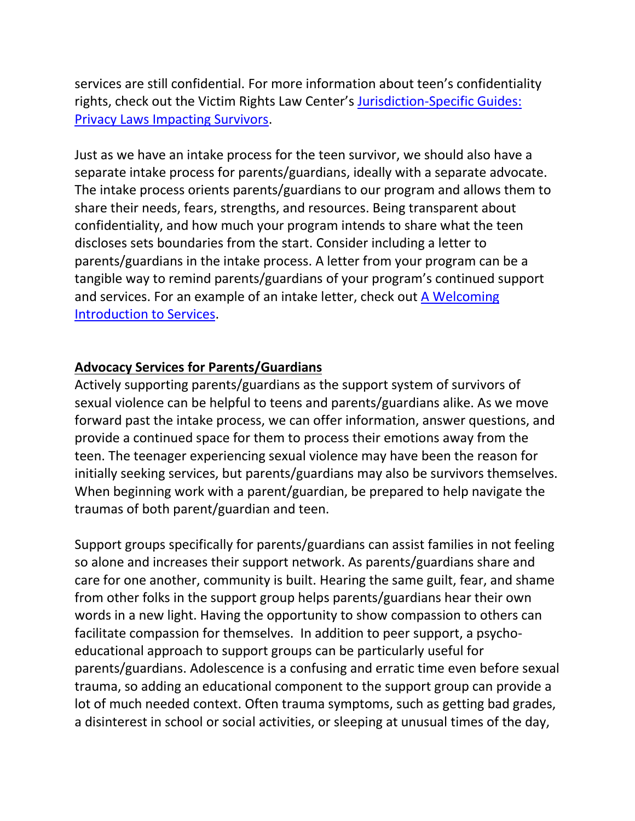services are still confidential. For more information about teen's confidentiality rights, check out the Victim Rights Law Center's Jurisdiction-Specific Guides: [Privacy Laws Impacting Survivors.](http://www.victimrights.org/privacy-cards)

Just as we have an intake process for the teen survivor, we should also have a separate intake process for parents/guardians, ideally with a separate advocate. The intake process orients parents/guardians to our program and allows them to share their needs, fears, strengths, and resources. Being transparent about confidentiality, and how much your program intends to share what the teen discloses sets boundaries from the start. Consider including a letter to parents/guardians in the intake process. A letter from your program can be a tangible way to remind parents/guardians of your program's continued support and services. For an example of an intake letter, check out [A Welcoming](http://www.resourcesharingproject.org/welcoming-introduction-services)  [Introduction to Services.](http://www.resourcesharingproject.org/welcoming-introduction-services)

## **Advocacy Services for Parents/Guardians**

Actively supporting parents/guardians as the support system of survivors of sexual violence can be helpful to teens and parents/guardians alike. As we move forward past the intake process, we can offer information, answer questions, and provide a continued space for them to process their emotions away from the teen. The teenager experiencing sexual violence may have been the reason for initially seeking services, but parents/guardians may also be survivors themselves. When beginning work with a parent/guardian, be prepared to help navigate the traumas of both parent/guardian and teen.

Support groups specifically for parents/guardians can assist families in not feeling so alone and increases their support network. As parents/guardians share and care for one another, community is built. Hearing the same guilt, fear, and shame from other folks in the support group helps parents/guardians hear their own words in a new light. Having the opportunity to show compassion to others can facilitate compassion for themselves. In addition to peer support, a psychoeducational approach to support groups can be particularly useful for parents/guardians. Adolescence is a confusing and erratic time even before sexual trauma, so adding an educational component to the support group can provide a lot of much needed context. Often trauma symptoms, such as getting bad grades, a disinterest in school or social activities, or sleeping at unusual times of the day,